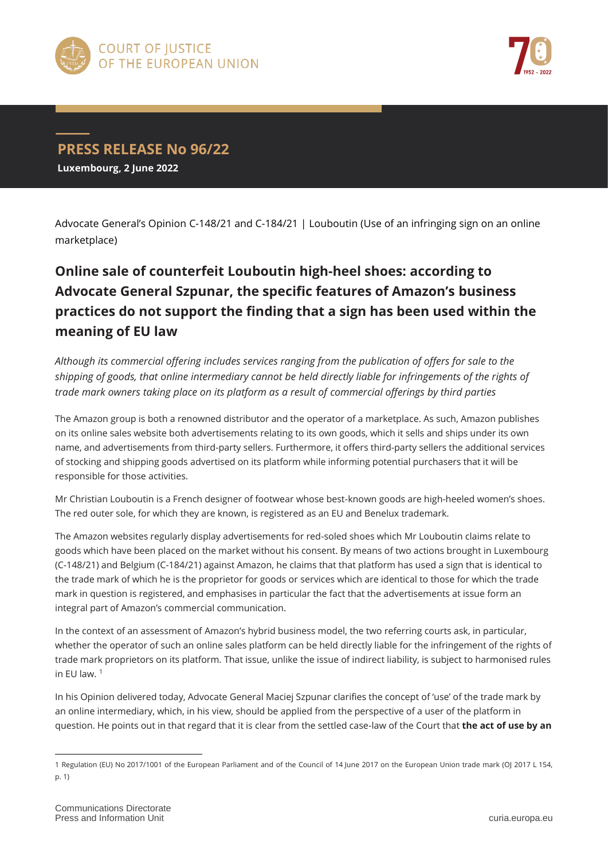



## **PRESS RELEASE No 96/22**

**Luxembourg, 2 June 2022**

Advocate General's Opinion C-148/21 and C-184/21 | Louboutin (Use of an infringing sign on an online marketplace)

## **Online sale of counterfeit Louboutin high-heel shoes: according to Advocate General Szpunar, the specific features of Amazon's business practices do not support the finding that a sign has been used within the meaning of EU law**

*Although its commercial offering includes services ranging from the publication of offers for sale to the shipping of goods, that online intermediary cannot be held directly liable for infringements of the rights of trade mark owners taking place on its platform as a result of commercial offerings by third parties*

The Amazon group is both a renowned distributor and the operator of a marketplace. As such, Amazon publishes on its online sales website both advertisements relating to its own goods, which it sells and ships under its own name, and advertisements from third-party sellers. Furthermore, it offers third-party sellers the additional services of stocking and shipping goods advertised on its platform while informing potential purchasers that it will be responsible for those activities.

Mr Christian Louboutin is a French designer of footwear whose best-known goods are high-heeled women's shoes. The red outer sole, for which they are known, is registered as an EU and Benelux trademark.

The Amazon websites regularly display advertisements for red-soled shoes which Mr Louboutin claims relate to goods which have been placed on the market without his consent. By means of two actions brought in Luxembourg (C-148/21) and Belgium (C-184/21) against Amazon, he claims that that platform has used a sign that is identical to the trade mark of which he is the proprietor for goods or services which are identical to those for which the trade mark in question is registered, and emphasises in particular the fact that the advertisements at issue form an integral part of Amazon's commercial communication.

In the context of an assessment of Amazon's hybrid business model, the two referring courts ask, in particular, whether the operator of such an online sales platform can be held directly liable for the infringement of the rights of trade mark proprietors on its platform. That issue, unlike the issue of indirect liability, is subject to harmonised rules in EU law.  $1$ 

In his Opinion delivered today, Advocate General Maciej Szpunar clarifies the concept of 'use' of the trade mark by an online intermediary, which, in his view, should be applied from the perspective of a user of the platform in question. He points out in that regard that it is clear from the settled case-law of the Court that **the act of use by an** 

 $\overline{a}$ 

<sup>1</sup> Regulation (EU) No 2017/1001 of the European Parliament and of the Council of 14 June 2017 on the European Union trade mark (OJ 2017 L 154, p. 1)